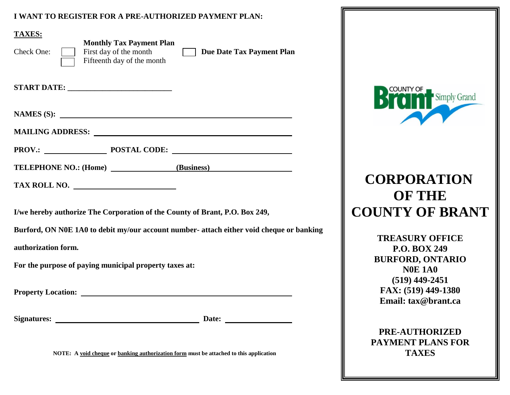### **I WANT TO REGISTER FOR A PRE-AUTHORIZED PAYMENT PLAN:**

| <b>TAXES:</b><br><b>Monthly Tax Payment Plan</b><br>First day of the month<br>Check One:<br>Fifteenth day of the month                                       | Due Date Tax Payment Plan                                                                |
|--------------------------------------------------------------------------------------------------------------------------------------------------------------|------------------------------------------------------------------------------------------|
|                                                                                                                                                              |                                                                                          |
| NAMES $(S)$ :                                                                                                                                                |                                                                                          |
|                                                                                                                                                              |                                                                                          |
| PROV.: POSTAL CODE:                                                                                                                                          |                                                                                          |
| TELEPHONE NO.: (Home) (Business)                                                                                                                             |                                                                                          |
| TAX ROLL NO.                                                                                                                                                 |                                                                                          |
| I/we hereby authorize The Corporation of the County of Brant, P.O. Box 249,<br>authorization form.<br>For the purpose of paying municipal property taxes at: | Burford, ON N0E 1A0 to debit my/our account number- attach either void cheque or banking |
| <b>Property Location:</b>                                                                                                                                    |                                                                                          |
|                                                                                                                                                              |                                                                                          |
| NOTE: A void cheque or banking authorization form must be attached to this application                                                                       |                                                                                          |



# **CORPORATION OF THE COUNTY OF BRANT**

**TREASURY OFFICE P.O. BOX 249 BURFORD, ONTARIO N0E 1A0 (519) 449-2451 FAX: (519) 449-1380 Email: tax@brant.ca**

**PRE-AUTHORIZED PAYMENT PLANS FOR TAXES**